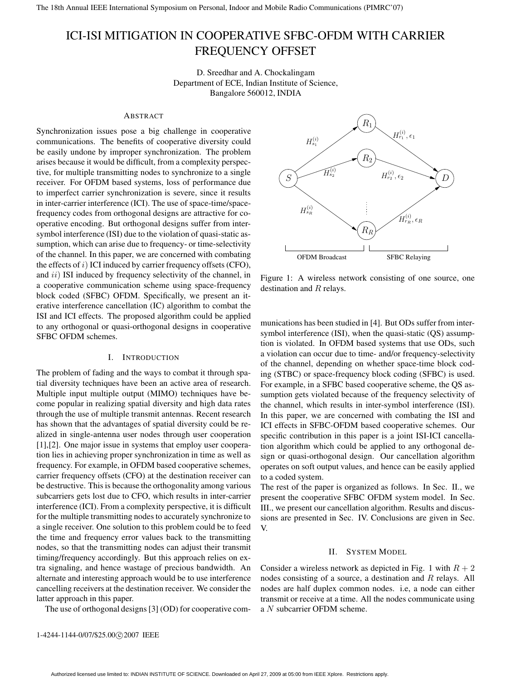# ICI-ISI MITIGATION IN COOPERATIVE SFBC-OFDM WITH CARRIER FREQUENCY OFFSET

D. Sreedhar and A. Chockalingam Department of ECE, Indian Institute of Science, Bangalore 560012, INDIA

#### ABSTRACT

Synchronization issues pose a big challenge in cooperative communications. The benefits of cooperative diversity could be easily undone by improper synchronization. The problem arises because it would be difficult, from a complexity perspective, for multiple transmitting nodes to synchronize to a single receiver. For OFDM based systems, loss of performance due to imperfect carrier synchronization is severe, since it results in inter-carrier interference (ICI). The use of space-time/spacefrequency codes from orthogonal designs are attractive for cooperative encoding. But orthogonal designs suffer from intersymbol interference (ISI) due to the violation of quasi-static assumption, which can arise due to frequency- or time-selectivity of the channel. In this paper, we are concerned with combating the effects of  $i$ ) ICI induced by carrier frequency offsets (CFO), and  $ii)$  ISI induced by frequency selectivity of the channel, in a cooperative communication scheme using space-frequency block coded (SFBC) OFDM. Specifically, we present an iterative interference cancellation (IC) algorithm to combat the ISI and ICI effects. The proposed algorithm could be applied to any orthogonal or quasi-orthogonal designs in cooperative SFBC OFDM schemes.

#### I. INTRODUCTION

The problem of fading and the ways to combat it through spatial diversity techniques have been an active area of research. Multiple input multiple output (MIMO) techniques have become popular in realizing spatial diversity and high data rates through the use of multiple transmit antennas. Recent research has shown that the advantages of spatial diversity could be realized in single-antenna user nodes through user cooperation [1],[2]. One major issue in systems that employ user cooperation lies in achieving proper synchronization in time as well as frequency. For example, in OFDM based cooperative schemes, carrier frequency offsets (CFO) at the destination receiver can be destructive. This is because the orthogonality among various subcarriers gets lost due to CFO, which results in inter-carrier interference (ICI). From a complexity perspective, it is difficult for the multiple transmitting nodes to accurately synchronize to a single receiver. One solution to this problem could be to feed the time and frequency error values back to the transmitting nodes, so that the transmitting nodes can adjust their transmit timing/frequency accordingly. But this approach relies on extra signaling, and hence wastage of precious bandwidth. An alternate and interesting approach would be to use interference cancelling receivers at the destination receiver. We consider the latter approach in this paper.

The use of orthogonal designs [3] (OD) for cooperative com-





Figure 1: A wireless network consisting of one source, one destination and R relays.

munications has been studied in [4]. But ODs suffer from intersymbol interference (ISI), when the quasi-static (QS) assumption is violated. In OFDM based systems that use ODs, such a violation can occur due to time- and/or frequency-selectivity of the channel, depending on whether space-time block coding (STBC) or space-frequency block coding (SFBC) is used. For example, in a SFBC based cooperative scheme, the QS assumption gets violated because of the frequency selectivity of the channel, which results in inter-symbol interference (ISI). In this paper, we are concerned with combating the ISI and ICI effects in SFBC-OFDM based cooperative schemes. Our specific contribution in this paper is a joint ISI-ICI cancellation algorithm which could be applied to any orthogonal design or quasi-orthogonal design. Our cancellation algorithm operates on soft output values, and hence can be easily applied to a coded system.

The rest of the paper is organized as follows. In Sec. II., we present the cooperative SFBC OFDM system model. In Sec. III., we present our cancellation algorithm. Results and discussions are presented in Sec. IV. Conclusions are given in Sec. V.

#### II. SYSTEM MODEL

Consider a wireless network as depicted in Fig. 1 with  $R + 2$ nodes consisting of a source, a destination and R relays. All nodes are half duplex common nodes. i.e, a node can either transmit or receive at a time. All the nodes communicate using a N subcarrier OFDM scheme.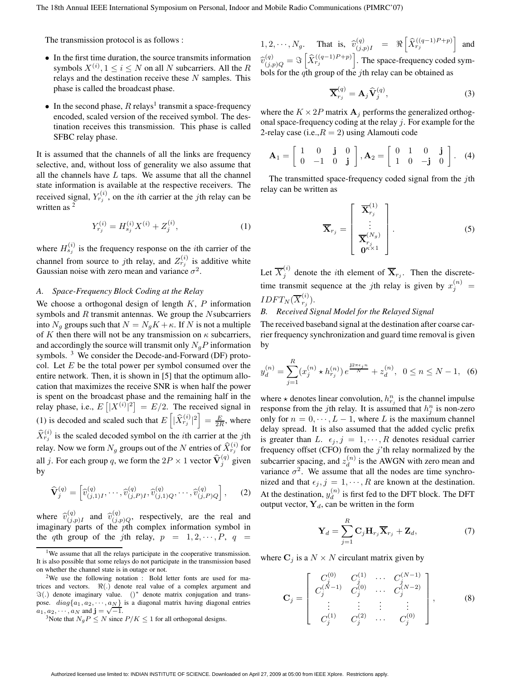The transmission protocol is as follows :

- In the first time duration, the source transmits information symbols  $X^{(i)}$ ,  $1 \le i \le N$  on all N subcarriers. All the R relays and the destination receive these  $N$  samples. This phase is called the broadcast phase.
- In the second phase,  $R$  relays<sup>1</sup> transmit a space-frequency encoded, scaled version of the received symbol. The destination receives this transmission. This phase is called SFBC relay phase.

It is assumed that the channels of all the links are frequency selective, and, without loss of generality we also assume that all the channels have  $L$  taps. We assume that all the channel state information is available at the respective receivers. The received signal,  $Y_{r_i}^{(i)}$ , on the *i*th carrier at the *j*th relay can be written as <sup>2</sup>

$$
Y_{r_j}^{(i)} = H_{s_j}^{(i)} X^{(i)} + Z_j^{(i)}, \tag{1}
$$

where  $H_{s_i}^{(i)}$  is the frequency response on the *i*th carrier of the channel from source to *j*th relay, and  $Z_{r_j}^{(i)}$  is additive white Gaussian noise with zero mean and variance  $\sigma^2$ .

# *A. Space-Frequency Block Coding at the Relay*

We choose a orthogonal design of length  $K$ ,  $P$  information symbols and  $R$  transmit antennas. We group the  $N$ subcarriers into  $N_q$  groups such that  $N = N_q K + \kappa$ . If N is not a multiple of K then there will not be any transmission on  $\kappa$  subcarriers, and accordingly the source will transmit only  $N_qP$  information symbols.<sup>3</sup> We consider the Decode-and-Forward (DF) protocol. Let  $E$  be the total power per symbol consumed over the entire network. Then, it is shown in [5] that the optimum allocation that maximizes the receive SNR is when half the power is spent on the broadcast phase and the remaining half in the relay phase, i.e.,  $E\left[|X^{(i)}|^2\right] = E/2$ . The received signal in (1) is decoded and scaled such that  $E\left[|\widehat{X}_{r_j}^{(i)}|^2\right] = \frac{E}{2R}$ , where  $\hat{X}_{r_j}^{(i)}$  is the scaled decoded symbol on the *i*th carrier at the *j*th relay. Now we form  $N_g$  groups out of the N entries of  $\widehat{X}_{r_i}^{(i)}$  for all *j*. For each group *q*, we form the  $2P \times 1$  vector  $\widehat{\mathbf{V}}_{j}^{(q)}$  given by

$$
\widehat{\mathbf{V}}_{j}^{(q)} = \left[ \widehat{v}_{(j,1)I}^{(q)}, \cdots, \widehat{v}_{(j,P)I}^{(q)}, \widehat{v}_{(j,1)Q}^{(q)}, \cdots, \widehat{v}_{(j,P)Q}^{(q)} \right],\qquad(2)
$$

where  $\hat{v}_{(j,p)I}^{(q)}$  and  $\hat{v}_{(j,p)Q}^{(q)}$ , respectively, are the real and imaginary parts of the  $p$ th complex information symbol in the qth group of the jth relay,  $p = 1, 2, \dots, P$ ,  $q =$ 

1, 2,  $\cdots$ ,  $N_g$ . That is,  $\widehat{v}_{(j,p)I}^{(q)} = \Re \left[ \widehat{X}_{r_j}^{((q-1)P+p)} \right]$  and  $\hat{v}_{(j,p)Q}^{(q)} = \Im \left[ \hat{X}_{r_j}^{((q-1)P+p)} \right]$ . The space-frequency coded symbols for the  $q\bar{t}$ h group of the *j*th relay can be obtained as

$$
\overline{\mathbf{X}}_{r_j}^{(q)} = \mathbf{A}_j \widehat{\mathbf{V}}_j^{(q)},\tag{3}
$$

where the  $K \times 2P$  matrix  $\mathbf{A}_j$  performs the generalized orthogonal space-frequency coding at the relay  $j$ . For example for the 2-relay case (i.e., $R = 2$ ) using Alamouti code

$$
\mathbf{A}_1 = \begin{bmatrix} 1 & 0 & \mathbf{j} & 0 \\ 0 & -1 & 0 & \mathbf{j} \end{bmatrix}, \mathbf{A}_2 = \begin{bmatrix} 0 & 1 & 0 & \mathbf{j} \\ 1 & 0 & -\mathbf{j} & 0 \end{bmatrix}. (4)
$$

The transmitted space-frequency coded signal from the jth relay can be written as

$$
\overline{\mathbf{X}}_{r_j} = \begin{bmatrix} \overline{\mathbf{X}}_{r_j}^{(1)} \\ \vdots \\ \overline{\mathbf{X}}_{r_j}^{(N_g)} \\ \mathbf{0}^{\kappa \times 1} \end{bmatrix} .
$$
 (5)

Let  $\overline{X}_j^{(i)}$  denote the *i*th element of  $\overline{X}_{r_j}$ . Then the discretetime transmit sequence at the *j*th relay is given by  $x_j^{(n)} =$  $IDFT_N(\overline{X}_{r_j}^{(i)}).$ 

# *B. Received Signal Model for the Relayed Signal*

The received baseband signal at the destination after coarse carrier frequency synchronization and guard time removal is given by

$$
y_d^{(n)} = \sum_{j=1}^R (x_j^{(n)} \star h_{r_j}^{(n)}) e^{\frac{j2\pi\epsilon_j n}{N}} + z_d^{(n)}, \ \ 0 \le n \le N - 1, \ \ (6)
$$

where  $\star$  denotes linear convolution,  $h_{rj}^n$  is the channel impulse response from the *j*th relay. It is assumed that  $h_j^n$  is non-zero only for  $n = 0, \dots, L - 1$ , where L is the maximum channel delay spread. It is also assumed that the added cyclic prefix is greater than L.  $\epsilon_j$ ,  $j = 1, \dots, R$  denotes residual carrier frequency offset (CFO) from the  $j$ 'th relay normalized by the subcarrier spacing, and  $z_d^{(n)}$  is the AWGN with zero mean and variance  $\sigma^2$ . We assume that all the nodes are time synchronized and that  $\epsilon_j$ ,  $j = 1, \dots, R$  are known at the destination. At the destination,  $y_d^{(n)}$  is first fed to the DFT block. The DFT output vector,  $Y_d$ , can be written in the form

$$
\mathbf{Y}_d = \sum_{j=1}^R \mathbf{C}_j \mathbf{H}_{r_j} \overline{\mathbf{X}}_{r_j} + \mathbf{Z}_d, \tag{7}
$$

where  $C_j$  is a  $N \times N$  circulant matrix given by

$$
\mathbf{C}_{j} = \begin{bmatrix} C_{j}^{(0)} & C_{j}^{(1)} & \cdots & C_{j}^{(N-1)} \\ C_{j}^{(N-1)} & C_{j}^{(0)} & \cdots & C_{j}^{(N-2)} \\ \vdots & \vdots & \vdots & \vdots \\ C_{j}^{(1)} & C_{j}^{(2)} & \cdots & C_{j}^{(0)} \end{bmatrix}, \quad (8)
$$

<sup>&</sup>lt;sup>1</sup>We assume that all the relays participate in the cooperative transmission. It is also possible that some relays do not participate in the transmission based on whether the channel state is in outage or not.

<sup>&</sup>lt;sup>2</sup>We use the following notation : Bold letter fonts are used for matrices and vectors.  $\Re(.)$  denote real value of a complex argument and -(.) denote imaginary value. ()∗ denote matrix conjugation and transpose.  $diag\{a_1, a_2, \dots, a_N\}$  is a diagonal matrix having diagonal entries  $a_1, a_2, \dots, a_N$  and  $\mathbf{j} = \sqrt{-1}$ .<br><sup>3</sup>Note that  $N_g P \leq N$  since  $P/K \leq 1$  for all orthogonal designs.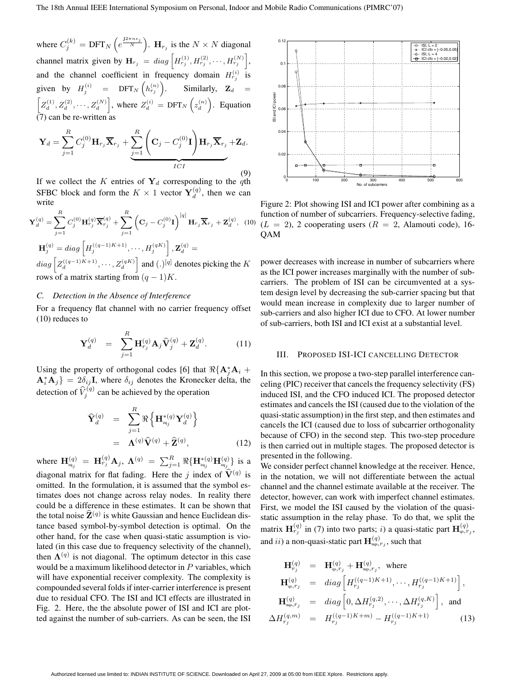where  $C_j^{(k)} = \text{DFT}_N\left(e^{\frac{\mathbf{j}2\pi n\epsilon_j}{N}}\right)$ .  $\mathbf{H}_{r_j}$  is the  $N \times N$  diagonal channel matrix given by  $\mathbf{H}_{r_j} = diag \left[ H_{r_j}^{(1)}, H_{r_j}^{(2)}, \cdots, H_{r_j}^{(N)} \right],$ and the channel coefficient in frequency domain  $H_{r_i}^{(i)}$  is given by  $H_j^{(i)} = \text{DFT}_N\left(h_{r_j}^{(n)}\right)$ . Similarly,  $\mathbf{Z}_d =$  $\left[ Z_d^{(1)}, Z_d^{(2)}, \cdots, Z_d^{(N)} \right]$ , where  $Z_d^{(i)} = \text{DFT}_N \left( z_d^{(n)} \right)$ . Equation (7) can be re-written as

$$
\mathbf{Y}_d = \sum_{j=1}^R C_j^{(0)} \mathbf{H}_{r_j} \overline{\mathbf{X}}_{r_j} + \underbrace{\sum_{j=1}^R \left( \mathbf{C}_j - C_j^{(0)} \mathbf{I} \right) \mathbf{H}_{r_j} \overline{\mathbf{X}}_{r_j}}_{ICI} + \mathbf{Z}_d.
$$
\n(9)

If we collect the K entries of  $Y_d$  corresponding to the qth SFBC block and form the  $K \times 1$  vector  $Y_d^{(q)}$ , then we can write

$$
\mathbf{Y}_{d}^{(q)} = \sum_{j=1}^{R} C_{j}^{(0)} \mathbf{H}_{r_{j}}^{(q)} \overline{\mathbf{X}}_{r_{j}}^{(q)} + \sum_{j=1}^{R} \left( \mathbf{C}_{j} - C_{j}^{(0)} \mathbf{I} \right)^{[q]} \mathbf{H}_{r_{j}} \overline{\mathbf{X}}_{r_{j}} + \mathbf{Z}_{d}^{(q)}, \quad (10)
$$
\n
$$
\mathbf{H}_{j}^{(q)} = diag \left[ H_{j}^{((q-1)K+1)}, \cdots, H_{j}^{(qK)} \right], \mathbf{Z}_{d}^{(q)} =
$$
\n
$$
diag \left[ Z_{d}^{((q-1)K+1)}, \cdots, Z_{d}^{(qK)} \right] \text{ and } (\cdot)^{[q]} \text{ denotes picking the } K
$$
\n
$$
\text{rows of a matrix starting from } (q-1)K.
$$

## *C. Detection in the Absence of Interference*

For a frequency flat channel with no carrier frequency offset (10) reduces to

$$
\mathbf{Y}_d^{(q)} = \sum_{j=1}^R \mathbf{H}_{r_j}^{(q)} \mathbf{A}_j \widehat{\mathbf{V}}_j^{(q)} + \mathbf{Z}_d^{(q)}.
$$
 (11)

Using the property of orthogonal codes [6] that  $\Re{\mathbf{A}_j^*\mathbf{A}_i}$  +  $\mathbf{A}_{i}^{*} \mathbf{A}_{j}$ } =  $2\delta_{ij} \mathbf{I}$ , where  $\delta_{ij}$  denotes the Kronecker delta, the detection of  $\widehat{V}_j^{(q)}$  can be achieved by the operation

$$
\widehat{\mathbf{Y}}_{d}^{(q)} = \sum_{j=1}^{R} \Re \left\{ \mathbf{H}_{\text{eq}}^{*(q)} \mathbf{Y}_{d}^{(q)} \right\} \n= \Lambda^{(q)} \widehat{\mathbf{V}}^{(q)} + \widehat{\mathbf{Z}}^{(q)},
$$
\n(12)

where  $\mathbf{H}_{\text{eqj}}^{(q)} = \mathbf{H}_{r_j}^{(q)} \mathbf{A}_j$ ,  $\mathbf{\Lambda}^{(q)} = \sum_{j=1}^{R} \Re{\{\mathbf{H}_{\text{eqj}}^{*(q)}\mathbf{H}_{\text{eqj}}^{(q)}\}}$  is a diagonal matrix for flat fading. Here the j index of  $\hat{V}^{(q)}$  is omitted. In the formulation, it is assumed that the symbol estimates does not change across relay nodes. In reality there could be a difference in these estimates. It can be shown that the total noise  $\widehat{\mathbf{Z}}^{(q)}$  is white Gaussian and hence Euclidean distance based symbol-by-symbol detection is optimal. On the other hand, for the case when quasi-static assumption is violated (in this case due to frequency selectivity of the channel), then  $\Lambda^{(q)}$  is not diagonal. The optimum detector in this case would be a maximum likelihood detector in  $P$  variables, which will have exponential receiver complexity. The complexity is compounded several folds if inter-carrier interference is present due to residual CFO. The ISI and ICI effects are illustrated in Fig. 2. Here, the the absolute power of ISI and ICI are plotted against the number of sub-carriers. As can be seen, the ISI



Figure 2: Plot showing ISI and ICI power after combining as a function of number of subcarriers. Frequency-selective fading,  $(L = 2)$ , 2 cooperating users  $(R = 2)$ , Alamouti code), 16-QAM

power decreases with increase in number of subcarriers where as the ICI power increases marginally with the number of subcarriers. The problem of ISI can be circumvented at a system design level by decreasing the sub-carrier spacing but that would mean increase in complexity due to larger number of sub-carriers and also higher ICI due to CFO. At lower number of sub-carriers, both ISI and ICI exist at a substantial level.

#### III. PROPOSED ISI-ICI CANCELLING DETECTOR

In this section, we propose a two-step parallel interference canceling (PIC) receiver that cancels the frequency selectivity (FS) induced ISI, and the CFO induced ICI. The proposed detector estimates and cancels the ISI (caused due to the violation of the quasi-static assumption) in the first step, and then estimates and cancels the ICI (caused due to loss of subcarrier orthogonality because of CFO) in the second step. This two-step procedure is then carried out in multiple stages. The proposed detector is presented in the following.

We consider perfect channel knowledge at the receiver. Hence, in the notation, we will not differentiate between the actual channel and the channel estimate available at the receiver. The detector, however, can work with imperfect channel estimates. First, we model the ISI caused by the violation of the quasistatic assumption in the relay phase. To do that, we split the matrix  $\mathbf{H}_{r_i}^{(q)}$  in (7) into two parts; i) a quasi-static part  $\mathbf{H}_{qs,r_i}^{(q)}$ , and  $ii)$  a non-quasi-static part  $\mathbf{H}_{\textrm{nqs},r_{j}}^{(q)},$  , such that

$$
\mathbf{H}_{r_j}^{(q)} = \mathbf{H}_{qs, r_j}^{(q)} + \mathbf{H}_{nqs, r_j}^{(q)}, \text{ where}
$$
\n
$$
\mathbf{H}_{qs, r_j}^{(q)} = diag \left[ H_{r_j}^{((q-1)K+1)}, \dots, H_{r_j}^{((q-1)K+1)} \right],
$$
\n
$$
\mathbf{H}_{ns_r, r_j}^{(q)} = diag \left[ 0, \Delta H_{r_j}^{(q, 2)}, \dots, \Delta H_{r_j}^{(q, K)} \right], \text{ and}
$$
\n
$$
\Delta H_{r_j}^{(q, m)} = H_{r_j}^{((q-1)K+m)} - H_{r_j}^{((q-1)K+1)} \tag{13}
$$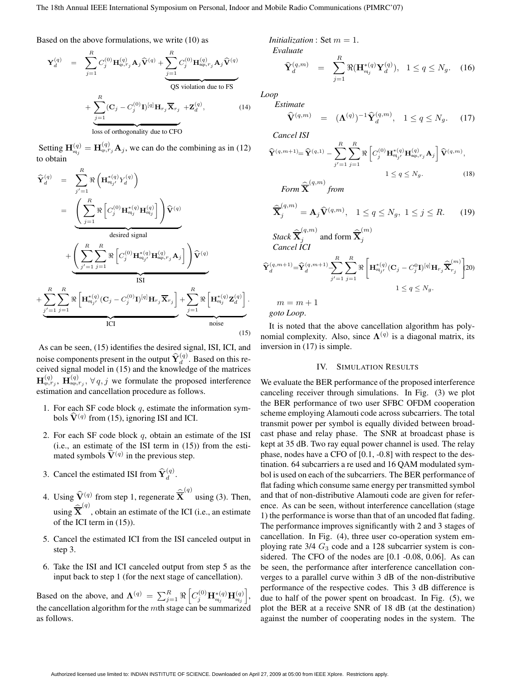Based on the above formulations, we write (10) as

$$
\mathbf{Y}_{d}^{(q)} = \sum_{j=1}^{R} C_{j}^{(0)} \mathbf{H}_{qs,r_{j}}^{(q)} \mathbf{A}_{j} \widehat{\mathbf{V}}^{(q)} + \sum_{j=1}^{R} C_{j}^{(0)} \mathbf{H}_{nqs,r_{j}}^{(q)} \mathbf{A}_{j} \widehat{\mathbf{V}}^{(q)}
$$
  
\nQS violation due to FS  
\n
$$
+ \sum_{j=1}^{R} (\mathbf{C}_{j} - C_{j}^{(0)} \mathbf{I})^{[q]} \mathbf{H}_{r_{j}} \overline{\mathbf{X}}_{r_{j}} + \mathbf{Z}_{d}^{(q)},
$$
\n(14)  
\nloss of orthogonality due to CFO

Setting  $\mathbf{H}_{\text{eq}}^{(q)} = \mathbf{H}_{\text{qs},r_j}^{(q)} \mathbf{A}_j$ , we can do the combining as in (12) to obtain

$$
\widehat{\mathbf{Y}}_{d}^{(q)} = \sum_{j'=1}^{R} \Re \left( \mathbf{H}_{\text{eq},j}^{*(q)} Y_{d}^{(q)} \right)
$$
\n
$$
= \underbrace{\left( \sum_{j=1}^{R} \Re \left[ C_{j}^{(0)} \mathbf{H}_{\text{eq},j}^{*(q)} \mathbf{H}_{\text{eq},j}^{(q)} \right] \right) \widehat{\mathbf{V}}^{(q)}}_{\text{desired signal}} + \underbrace{\left( \sum_{j'=1}^{R} \sum_{j=1}^{R} \Re \left[ C_{j}^{(0)} \mathbf{H}_{\text{eq},j'}^{*(q)} \mathbf{H}_{\text{eq},r}^{(q)}, \mathbf{A}_{j} \right] \right) \widehat{\mathbf{V}}^{(q)}}_{\text{ISI}} + \underbrace{\sum_{j'=1}^{R} \sum_{j=1}^{R} \Re \left[ \mathbf{H}_{\text{eq},j'}^{*(q)} (\mathbf{C}_{j} - C_{j}^{(0)} \mathbf{I})^{[q]} \mathbf{H}_{r_{j}} \overline{\mathbf{X}}_{r_{j}} \right] + \underbrace{\sum_{j=1}^{R} \Re \left[ \mathbf{H}_{\text{eq},j}^{*(q)} \mathbf{Z}_{d}^{(q)} \right]}_{\text{ICI}}.
$$
\n(15)

As can be seen, (15) identifies the desired signal, ISI, ICI, and noise components present in the output  $\widehat{\mathbf{Y}}_d^{(q)}$ . Based on this received signal model in (15) and the knowledge of the matrices  $\mathbf{H}_{qs, r_j}^{(q)}$ ,  $\mathbf{H}_{\text{nqs}, r_j}^{(q)}$ ,  $\forall q, j$  we formulate the proposed interference estimation and cancellation procedure as follows.

- 1. For each SF code block  $q$ , estimate the information symbols  $\hat{V}^{(q)}$  from (15), ignoring ISI and ICI.
- 2. For each SF code block q, obtain an estimate of the ISI (i.e., an estimate of the ISI term in (15)) from the estimated symbols  $\widehat{\mathbf{V}}^{(q)}$  in the previous step.
- 3. Cancel the estimated ISI from  $\hat{\mathbf{Y}}_d^{(q)}$ .
- 4. Using  $\widehat{\mathbf{V}}^{(q)}$  from step 1, regenerate  $\widehat{\mathbf{X}}^{(q)}$  using (3). Then, using  $\widehat{\mathbf{x}}^{(q)}$ , obtain an estimate of the ICI (i.e., an estimate of the ICI term in (15)).
- 5. Cancel the estimated ICI from the ISI canceled output in step 3.
- 6. Take the ISI and ICI canceled output from step 5 as the input back to step 1 (for the next stage of cancellation).

Based on the above, and  $\mathbf{\Lambda}^{(q)} = \sum_{j=1}^{R} \Re \left[ C_j^{(0)} \mathbf{H}_{\text{eq}_j}^{*(q)} \mathbf{H}_{\text{eq}_j}^{(q)} \right],$ the cancellation algorithm for the mth stage can be summarized as follows.

*Initialization* : Set  $m = 1$ . *Evaluate*

$$
\widehat{\mathbf{Y}}_d^{(q,m)} = \sum_{j=1}^R \Re(\mathbf{H}_{\text{eq},j}^{*(q)} \mathbf{Y}_d^{(q)}), \quad 1 \le q \le N_g. \tag{16}
$$

*Loop*

*Estimate*  

$$
\widehat{\mathbf{V}}^{(q,m)} = (\mathbf{\Lambda}^{(q)})^{-1} \widehat{\mathbf{Y}}_d^{(q,m)}, \quad 1 \le q \le N_g. \tag{17}
$$

*Cancel ISI*

$$
\widehat{\mathbf{Y}}^{(q,m+1)} = \widehat{\mathbf{Y}}^{(q,1)} - \sum_{j'=1}^{R} \sum_{j=1}^{R} \Re \left[ C_j^{(0)} \mathbf{H}_{\text{eq},j'}^{*(q)} \mathbf{H}_{\text{eq},r_j}^{(q)} \mathbf{A}_j \right] \widehat{\mathbf{V}}^{(q,m)},
$$
  

$$
1 \le q \le N_g.
$$
 (18)

$$
Form \widehat{\mathbf{X}}^{(q,m)} from
$$

$$
\widehat{\overline{\mathbf{X}}}_j^{(q,m)} = \mathbf{A}_j \widehat{\mathbf{V}}^{(q,m)}, \quad 1 \le q \le N_g, \ 1 \le j \le R. \tag{19}
$$

$$
Stack \, \widehat{\overline{\mathbf{X}}}_j^{(q,m)}
$$
 and form 
$$
\widehat{\overline{\mathbf{X}}}_j^{(m)}
$$
 *Cancel ICI*

$$
\widehat{\mathbf{Y}}_{d}^{(q,m+1)} = \widehat{\mathbf{Y}}_{d}^{(q,m+1)} - \sum_{j'=1}^{R} \sum_{j=1}^{R} \Re \left[ \mathbf{H}_{\text{eq},j'}^{*(q)}(\mathbf{C}_{j} - C_{j}^{0}\mathbf{I})^{[q]} \mathbf{H}_{r_{j}} \widehat{\mathbf{X}}_{r_{j}}^{(m)} \right] \tag{20}
$$
\n
$$
m = m + 1
$$

j

*goto Loop*.

It is noted that the above cancellation algorithm has polynomial complexity. Also, since  $\Lambda^{(q)}$  is a diagonal matrix, its inversion in (17) is simple.

## IV. SIMULATION RESULTS

We evaluate the BER performance of the proposed interference canceling receiver through simulations. In Fig. (3) we plot the BER performance of two user SFBC OFDM cooperation scheme employing Alamouti code across subcarriers. The total transmit power per symbol is equally divided between broadcast phase and relay phase. The SNR at broadcast phase is kept at 35 dB. Two ray equal power channel is used. The relay phase, nodes have a CFO of [0.1, -0.8] with respect to the destination. 64 subcarriers a re used and 16 QAM modulated symbol is used on each of the subcarriers. The BER performance of flat fading which consume same energy per transmitted symbol and that of non-distributive Alamouti code are given for reference. As can be seen, without interference cancellation (stage 1) the performance is worse than that of an uncoded flat fading. The performance improves significantly with 2 and 3 stages of cancellation. In Fig. (4), three user co-operation system employing rate  $3/4$   $G_3$  code and a 128 subcarrier system is considered. The CFO of the nodes are [0.1 -0.08, 0.06]. As can be seen, the performance after interference cancellation converges to a parallel curve within 3 dB of the non-distributive performance of the respective codes. This 3 dB difference is due to half of the power spent on broadcast. In Fig. (5), we plot the BER at a receive SNR of 18 dB (at the destination) against the number of cooperating nodes in the system. The